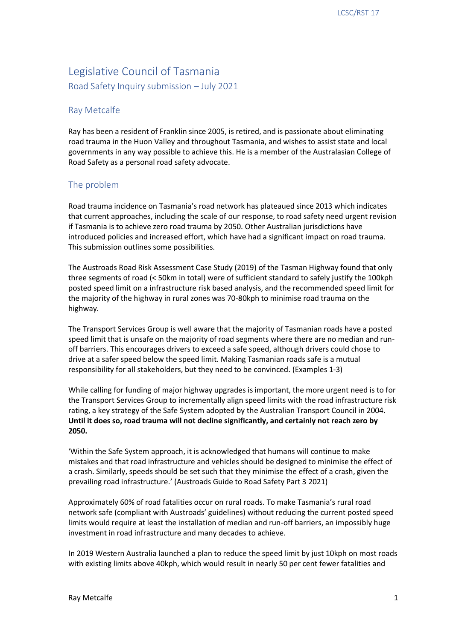# Legislative Council of Tasmania

Road Safety Inquiry submission – July 2021

## Ray Metcalfe

 Ray has been a resident of Franklin since 2005, is retired, and is passionate about eliminating road trauma in the Huon Valley and throughout Tasmania, and wishes to assist state and local governments in any way possible to achieve this. He is a member of the Australasian College of Road Safety as a personal road safety advocate.

# The problem

 Road trauma incidence on Tasmania's road network has plateaued since 2013 which indicates that current approaches, including the scale of our response, to road safety need urgent revision if Tasmania is to achieve zero road trauma by 2050. Other Australian jurisdictions have introduced policies and increased effort, which have had a significant impact on road trauma. This submission outlines some possibilities.

 The Austroads Road Risk Assessment Case Study (2019) of the Tasman Highway found that only three segments of road (< 50km in total) were of sufficient standard to safely justify the 100kph posted speed limit on a infrastructure risk based analysis, and the recommended speed limit for the majority of the highway in rural zones was 70-80kph to minimise road trauma on the highway.

 The Transport Services Group is well aware that the majority of Tasmanian roads have a posted speed limit that is unsafe on the majority of road segments where there are no median and run- off barriers. This encourages drivers to exceed a safe speed, although drivers could chose to drive at a safer speed below the speed limit. Making Tasmanian roads safe is a mutual responsibility for all stakeholders, but they need to be convinced. (Examples 1-3)

 While calling for funding of major highway upgrades is important, the more urgent need is to for the Transport Services Group to incrementally align speed limits with the road infrastructure risk rating, a key strategy of the Safe System adopted by the Australian Transport Council in 2004.  **Until it does so, road trauma will not decline significantly, and certainly not reach zero by 2050.** 

 'Within the Safe System approach, it is acknowledged that humans will continue to make mistakes and that road infrastructure and vehicles should be designed to minimise the effect of a crash. Similarly, speeds should be set such that they minimise the effect of a crash, given the prevailing road infrastructure.' (Austroads Guide to Road Safety Part 3 2021)

 Approximately 60% of road fatalities occur on rural roads. To make Tasmania's rural road network safe (compliant with Austroads' guidelines) without reducing the current posted speed limits would require at least the installation of median and run-off barriers, an impossibly huge investment in road infrastructure and many decades to achieve.

 In 2019 Western Australia launched a plan to reduce the speed limit by just 10kph on most roads with existing limits above 40kph, which would result in nearly 50 per cent fewer fatalities and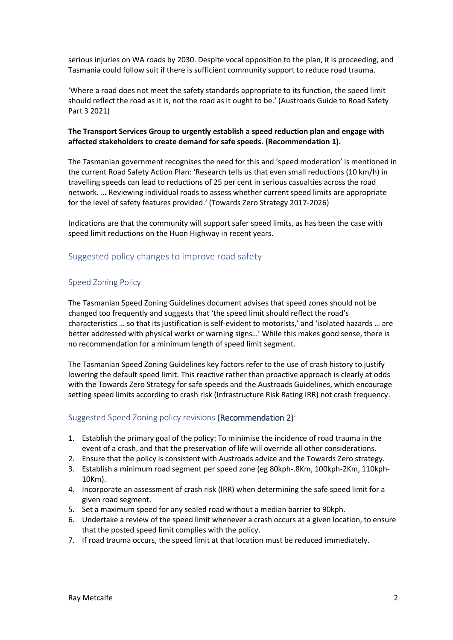serious injuries on WA roads by 2030. Despite vocal opposition to the plan, it is proceeding, and Tasmania could follow suit if there is sufficient community support to reduce road trauma.

 'Where a road does not meet the safety standards appropriate to its function, the speed limit should reflect the road as it is, not the road as it ought to be.' (Austroads Guide to Road Safety Part 3 2021)

#### **The Transport Services Group to urgently establish a speed reduction plan and engage with affected stakeholders to create demand for safe speeds. (Recommendation 1).**

 The Tasmanian government recognises the need for this and 'speed moderation' is mentioned in the current Road Safety Action Plan: 'Research tells us that even small reductions (10 km/h) in travelling speeds can lead to reductions of 25 per cent in serious casualties across the road network. … Reviewing individual roads to assess whether current speed limits are appropriate for the level of safety features provided.' (Towards Zero Strategy 2017-2026)

 Indications are that the community will support safer speed limits, as has been the case with speed limit reductions on the Huon Highway in recent years.

# Suggested policy changes to improve road safety

#### Speed Zoning Policy

 The Tasmanian Speed Zoning Guidelines document advises that speed zones should not be changed too frequently and suggests that 'the speed limit should reflect the road's characteristics … so that its justification is self-evident to motorists,' and 'isolated hazards … are better addressed with physical works or warning signs…' While this makes good sense, there is no recommendation for a minimum length of speed limit segment.

 The Tasmanian Speed Zoning Guidelines key factors refer to the use of crash history to justify lowering the default speed limit. This reactive rather than proactive approach is clearly at odds with the Towards Zero Strategy for safe speeds and the Austroads Guidelines, which encourage setting speed limits according to crash risk (Infrastructure Risk Rating IRR) not crash frequency.

#### Suggested Speed Zoning policy revisions (Recommendation 2):

- 1. Establish the primary goal of the policy: To minimise the incidence of road trauma in the event of a crash, and that the preservation of life will override all other considerations.
- 2. Ensure that the policy is consistent with Austroads advice and the Towards Zero strategy.
- 3. Establish a minimum road segment per speed zone (eg 80kph-.8Km, 100kph-2Km, 110kph-10Km).
- 4. Incorporate an assessment of crash risk (IRR) when determining the safe speed limit for a given road segment.
- 5. Set a maximum speed for any sealed road without a median barrier to 90kph.
- 6. Undertake a review of the speed limit whenever a crash occurs at a given location, to ensure that the posted speed limit complies with the policy.
- 7. If road trauma occurs, the speed limit at that location must be reduced immediately.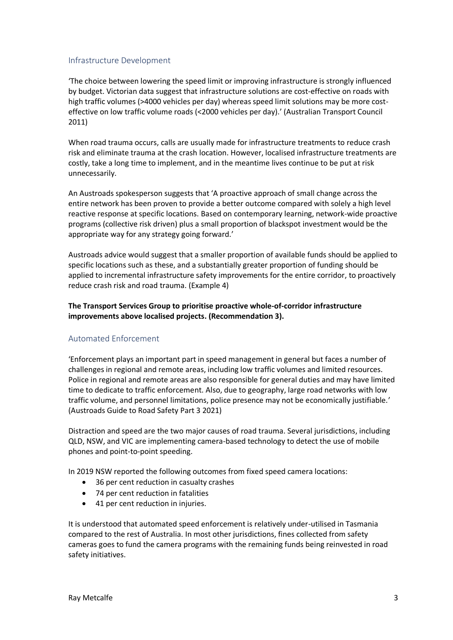#### Infrastructure Development

 by budget. Victorian data suggest that infrastructure solutions are cost-effective on roads with high traffic volumes (>4000 vehicles per day) whereas speed limit solutions may be more cost- effective on low traffic volume roads (<2000 vehicles per day).' (Australian Transport Council 'The choice between lowering the speed limit or improving infrastructure is strongly influenced 2011)

 When road trauma occurs, calls are usually made for infrastructure treatments to reduce crash risk and eliminate trauma at the crash location. However, localised infrastructure treatments are costly, take a long time to implement, and in the meantime lives continue to be put at risk unnecessarily.

 An Austroads spokesperson suggests that 'A proactive approach of small change across the entire network has been proven to provide a better outcome compared with solely a high level reactive response at specific locations. Based on contemporary learning, network-wide proactive programs (collective risk driven) plus a small proportion of blackspot investment would be the appropriate way for any strategy going forward.'

 Austroads advice would suggest that a smaller proportion of available funds should be applied to specific locations such as these, and a substantially greater proportion of funding should be applied to incremental infrastructure safety improvements for the entire corridor, to proactively reduce crash risk and road trauma. (Example 4)

## **The Transport Services Group to prioritise proactive whole-of-corridor infrastructure improvements above localised projects. (Recommendation 3).**

## Automated Enforcement

 'Enforcement plays an important part in speed management in general but faces a number of challenges in regional and remote areas, including low traffic volumes and limited resources. Police in regional and remote areas are also responsible for general duties and may have limited time to dedicate to traffic enforcement. Also, due to geography, large road networks with low traffic volume, and personnel limitations, police presence may not be economically justifiable.' (Austroads Guide to Road Safety Part 3 2021)

 Distraction and speed are the two major causes of road trauma. Several jurisdictions, including QLD, NSW, and VIC are implementing camera-based technology to detect the use of mobile phones and point-to-point speeding.

In 2019 NSW reported the following outcomes from fixed speed camera locations:

- 36 per cent reduction in casualty crashes
- 74 per cent reduction in fatalities
- 41 per cent reduction in injuries.

 It is understood that automated speed enforcement is relatively under-utilised in Tasmania compared to the rest of Australia. In most other jurisdictions, fines collected from safety cameras goes to fund the camera programs with the remaining funds being reinvested in road safety initiatives.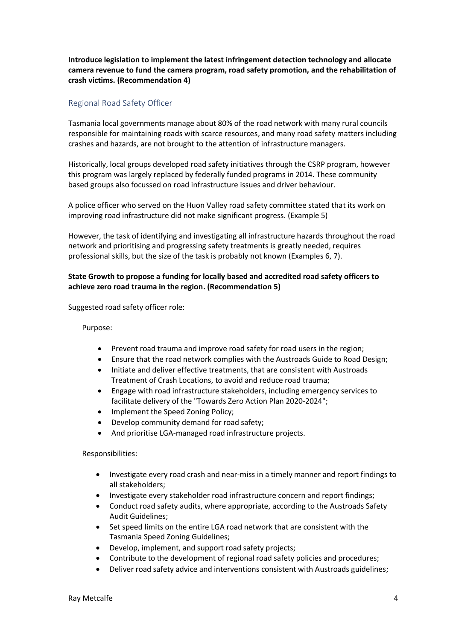**Introduce legislation to implement the latest infringement detection technology and allocate camera revenue to fund the camera program, road safety promotion, and the rehabilitation of crash victims. (Recommendation 4)** 

## Regional Road Safety Officer

 Tasmania local governments manage about 80% of the road network with many rural councils responsible for maintaining roads with scarce resources, and many road safety matters including crashes and hazards, are not brought to the attention of infrastructure managers.

 Historically, local groups developed road safety initiatives through the CSRP program, however this program was largely replaced by federally funded programs in 2014. These community based groups also focussed on road infrastructure issues and driver behaviour.

 A police officer who served on the Huon Valley road safety committee stated that its work on improving road infrastructure did not make significant progress. (Example 5)

 However, the task of identifying and investigating all infrastructure hazards throughout the road network and prioritising and progressing safety treatments is greatly needed, requires professional skills, but the size of the task is probably not known (Examples 6, 7).

## **State Growth to propose a funding for locally based and accredited road safety officers to achieve zero road trauma in the region. (Recommendation 5)**

Suggested road safety officer role:

Purpose:

- Prevent road trauma and improve road safety for road users in the region;
- Ensure that the road network complies with the Austroads Guide to Road Design;
- Initiate and deliver effective treatments, that are consistent with Austroads Treatment of Crash Locations, to avoid and reduce road trauma;
- Engage with road infrastructure stakeholders, including emergency services to facilitate delivery of the "Towards Zero Action Plan 2020-2024";
- Implement the Speed Zoning Policy;
- Develop community demand for road safety;
- And prioritise LGA-managed road infrastructure projects.

#### Responsibilities:

- Investigate every road crash and near-miss in a timely manner and report findings to all stakeholders;
- Investigate every stakeholder road infrastructure concern and report findings;
- Conduct road safety audits, where appropriate, according to the Austroads Safety Audit Guidelines;
- Set speed limits on the entire LGA road network that are consistent with the Tasmania Speed Zoning Guidelines;
- Develop, implement, and support road safety projects;
- Contribute to the development of regional road safety policies and procedures;
- Deliver road safety advice and interventions consistent with Austroads guidelines;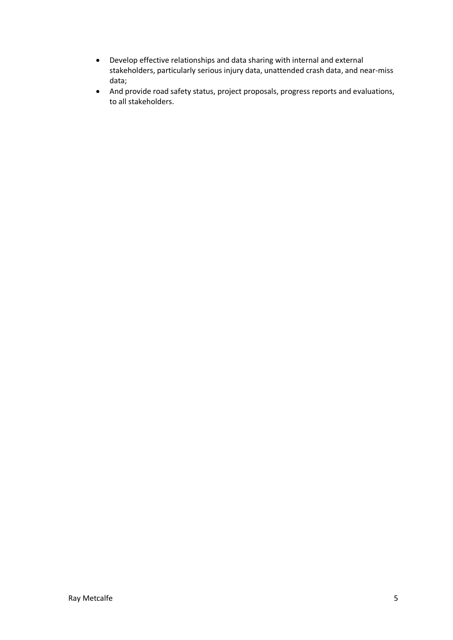- Develop effective relationships and data sharing with internal and external stakeholders, particularly serious injury data, unattended crash data, and near-miss data;
- And provide road safety status, project proposals, progress reports and evaluations, to all stakeholders.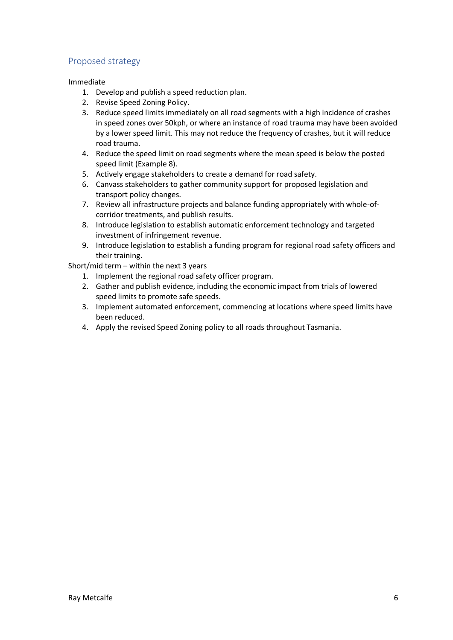# Proposed strategy

## Immediate

- 1. Develop and publish a speed reduction plan.
- 2. Revise Speed Zoning Policy.
- 3. Reduce speed limits immediately on all road segments with a high incidence of crashes in speed zones over 50kph, or where an instance of road trauma may have been avoided by a lower speed limit. This may not reduce the frequency of crashes, but it will reduce road trauma.
- 4. Reduce the speed limit on road segments where the mean speed is below the posted speed limit (Example 8).
- 5. Actively engage stakeholders to create a demand for road safety.
- 6. Canvass stakeholders to gather community support for proposed legislation and transport policy changes.
- 7. Review all infrastructure projects and balance funding appropriately with whole-of-corridor treatments, and publish results.
- 8. Introduce legislation to establish automatic enforcement technology and targeted investment of infringement revenue.
- 9. Introduce legislation to establish a funding program for regional road safety officers and their training.

Short/mid term – within the next 3 years

- 1. Implement the regional road safety officer program.
- 2. Gather and publish evidence, including the economic impact from trials of lowered speed limits to promote safe speeds.
- 3. Implement automated enforcement, commencing at locations where speed limits have been reduced.
- 4. Apply the revised Speed Zoning policy to all roads throughout Tasmania.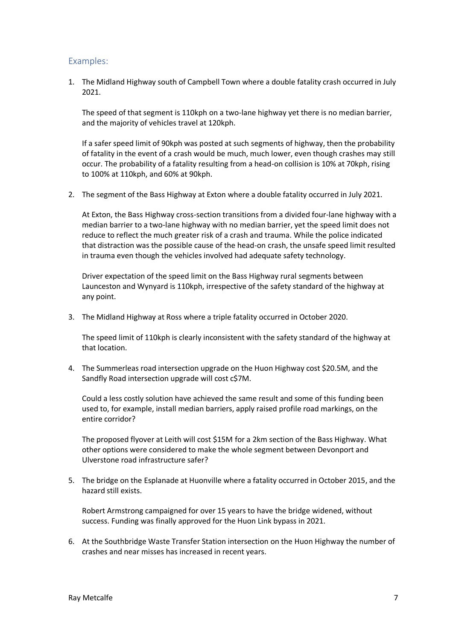## Examples:

 1. The Midland Highway south of Campbell Town where a double fatality crash occurred in July 2021.

2021.<br>The speed of that segment is 110kph on a two-lane highway yet there is no median barrier, and the majority of vehicles travel at 120kph.

 If a safer speed limit of 90kph was posted at such segments of highway, then the probability of fatality in the event of a crash would be much, much lower, even though crashes may still occur. The probability of a fatality resulting from a head-on collision is 10% at 70kph, rising to 100% at 110kph, and 60% at 90kph.

2. The segment of the Bass Highway at Exton where a double fatality occurred in July 2021.

 At Exton, the Bass Highway cross-section transitions from a divided four-lane highway with a median barrier to a two-lane highway with no median barrier, yet the speed limit does not reduce to reflect the much greater risk of a crash and trauma. While the police indicated that distraction was the possible cause of the head-on crash, the unsafe speed limit resulted in trauma even though the vehicles involved had adequate safety technology.

 Driver expectation of the speed limit on the Bass Highway rural segments between Launceston and Wynyard is 110kph, irrespective of the safety standard of the highway at any point.

3. The Midland Highway at Ross where a triple fatality occurred in October 2020.

 The speed limit of 110kph is clearly inconsistent with the safety standard of the highway at that location.

 4. The Summerleas road intersection upgrade on the Huon Highway cost \$20.5M, and the Sandfly Road intersection upgrade will cost c\$7M.

 Could a less costly solution have achieved the same result and some of this funding been used to, for example, install median barriers, apply raised profile road markings, on the entire corridor?

 The proposed flyover at Leith will cost \$15M for a 2km section of the Bass Highway. What other options were considered to make the whole segment between Devonport and Ulverstone road infrastructure safer?

 5. The bridge on the Esplanade at Huonville where a fatality occurred in October 2015, and the hazard still exists.

 Robert Armstrong campaigned for over 15 years to have the bridge widened, without success. Funding was finally approved for the Huon Link bypass in 2021.

 6. At the Southbridge Waste Transfer Station intersection on the Huon Highway the number of crashes and near misses has increased in recent years.